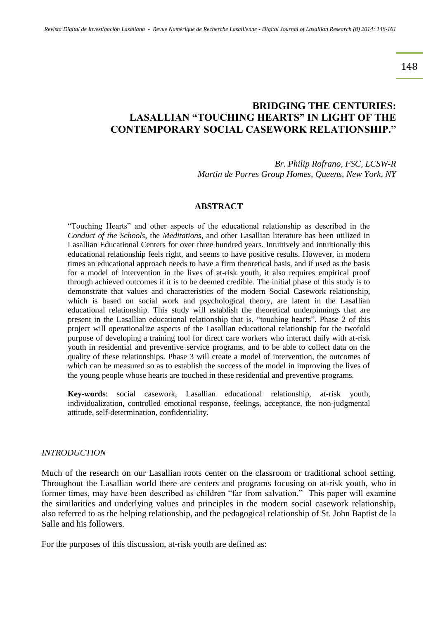148

# **BRIDGING THE CENTURIES: LASALLIAN "TOUCHING HEARTS" IN LIGHT OF THE CONTEMPORARY SOCIAL CASEWORK RELATIONSHIP."**

*Br. Philip Rofrano, FSC, LCSW-R Martin de Porres Group Homes, Queens, New York, NY*

#### **ABSTRACT**

"Touching Hearts" and other aspects of the educational relationship as described in the *Conduct of the Schools*, the *Meditations*, and other Lasallian literature has been utilized in Lasallian Educational Centers for over three hundred years. Intuitively and intuitionally this educational relationship feels right, and seems to have positive results. However, in modern times an educational approach needs to have a firm theoretical basis, and if used as the basis for a model of intervention in the lives of at-risk youth, it also requires empirical proof through achieved outcomes if it is to be deemed credible. The initial phase of this study is to demonstrate that values and characteristics of the modern Social Casework relationship, which is based on social work and psychological theory, are latent in the Lasallian educational relationship. This study will establish the theoretical underpinnings that are present in the Lasallian educational relationship that is, "touching hearts". Phase 2 of this project will operationalize aspects of the Lasallian educational relationship for the twofold purpose of developing a training tool for direct care workers who interact daily with at-risk youth in residential and preventive service programs, and to be able to collect data on the quality of these relationships. Phase 3 will create a model of intervention, the outcomes of which can be measured so as to establish the success of the model in improving the lives of the young people whose hearts are touched in these residential and preventive programs.

**Key-words**: social casework, Lasallian educational relationship, at-risk youth, individualization, controlled emotional response, feelings, acceptance, the non-judgmental attitude, self-determination, confidentiality.

#### *INTRODUCTION*

Much of the research on our Lasallian roots center on the classroom or traditional school setting. Throughout the Lasallian world there are centers and programs focusing on at-risk youth, who in former times, may have been described as children "far from salvation." This paper will examine the similarities and underlying values and principles in the modern social casework relationship, also referred to as the helping relationship, and the pedagogical relationship of St. John Baptist de la Salle and his followers.

For the purposes of this discussion, at-risk youth are defined as: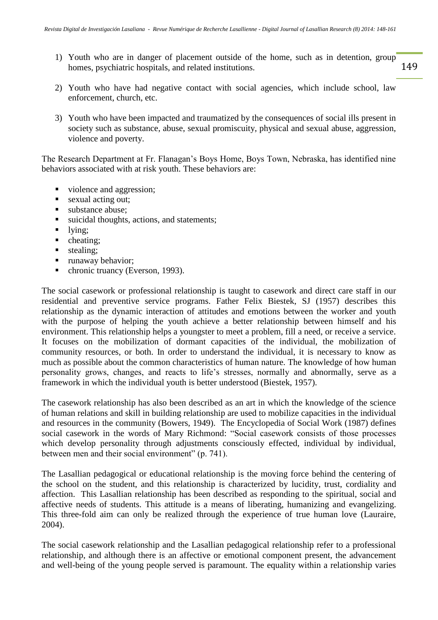- 149 1) Youth who are in danger of placement outside of the home, such as in detention, group homes, psychiatric hospitals, and related institutions.
- 2) Youth who have had negative contact with social agencies, which include school, law enforcement, church, etc.
- 3) Youth who have been impacted and traumatized by the consequences of social ills present in society such as substance, abuse, sexual promiscuity, physical and sexual abuse, aggression, violence and poverty.

The Research Department at Fr. Flanagan's Boys Home, Boys Town, Nebraska, has identified nine behaviors associated with at risk youth. These behaviors are:

- violence and aggression;
- sexual acting out;
- substance abuse;
- usidal thoughts, actions, and statements;
- $\blacksquare$  lying;
- cheating;
- stealing;
- **runaway behavior;**
- chronic truancy (Everson, 1993).

The social casework or professional relationship is taught to casework and direct care staff in our residential and preventive service programs. Father Felix Biestek, SJ (1957) describes this relationship as the dynamic interaction of attitudes and emotions between the worker and youth with the purpose of helping the youth achieve a better relationship between himself and his environment. This relationship helps a youngster to meet a problem, fill a need, or receive a service. It focuses on the mobilization of dormant capacities of the individual, the mobilization of community resources, or both. In order to understand the individual, it is necessary to know as much as possible about the common characteristics of human nature. The knowledge of how human personality grows, changes, and reacts to life's stresses, normally and abnormally, serve as a framework in which the individual youth is better understood (Biestek, 1957).

The casework relationship has also been described as an art in which the knowledge of the science of human relations and skill in building relationship are used to mobilize capacities in the individual and resources in the community (Bowers, 1949). The Encyclopedia of Social Work (1987) defines social casework in the words of Mary Richmond: "Social casework consists of those processes which develop personality through adjustments consciously effected, individual by individual, between men and their social environment" (p. 741).

The Lasallian pedagogical or educational relationship is the moving force behind the centering of the school on the student, and this relationship is characterized by lucidity, trust, cordiality and affection. This Lasallian relationship has been described as responding to the spiritual, social and affective needs of students. This attitude is a means of liberating, humanizing and evangelizing. This three-fold aim can only be realized through the experience of true human love (Lauraire, 2004).

The social casework relationship and the Lasallian pedagogical relationship refer to a professional relationship, and although there is an affective or emotional component present, the advancement and well-being of the young people served is paramount. The equality within a relationship varies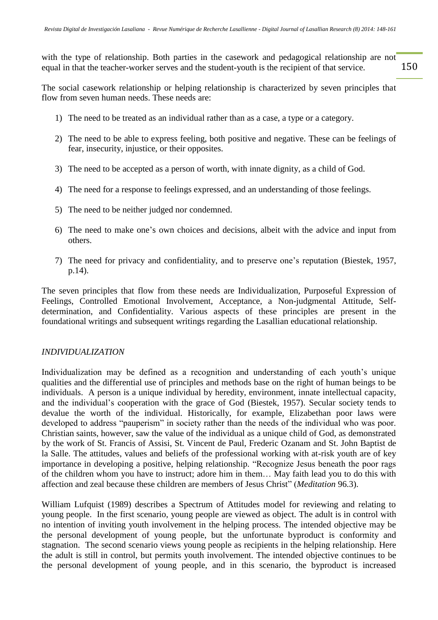150 with the type of relationship. Both parties in the casework and pedagogical relationship are not equal in that the teacher-worker serves and the student-youth is the recipient of that service.

The social casework relationship or helping relationship is characterized by seven principles that flow from seven human needs. These needs are:

- 1) The need to be treated as an individual rather than as a case, a type or a category.
- 2) The need to be able to express feeling, both positive and negative. These can be feelings of fear, insecurity, injustice, or their opposites.
- 3) The need to be accepted as a person of worth, with innate dignity, as a child of God.
- 4) The need for a response to feelings expressed, and an understanding of those feelings.
- 5) The need to be neither judged nor condemned.
- 6) The need to make one's own choices and decisions, albeit with the advice and input from others.
- 7) The need for privacy and confidentiality, and to preserve one's reputation (Biestek, 1957, p.14).

The seven principles that flow from these needs are Individualization, Purposeful Expression of Feelings, Controlled Emotional Involvement, Acceptance, a Non-judgmental Attitude, Selfdetermination, and Confidentiality. Various aspects of these principles are present in the foundational writings and subsequent writings regarding the Lasallian educational relationship.

### *INDIVIDUALIZATION*

Individualization may be defined as a recognition and understanding of each youth's unique qualities and the differential use of principles and methods base on the right of human beings to be individuals. A person is a unique individual by heredity, environment, innate intellectual capacity, and the individual's cooperation with the grace of God (Biestek, 1957). Secular society tends to devalue the worth of the individual. Historically, for example, Elizabethan poor laws were developed to address "pauperism" in society rather than the needs of the individual who was poor. Christian saints, however, saw the value of the individual as a unique child of God, as demonstrated by the work of St. Francis of Assisi, St. Vincent de Paul, Frederic Ozanam and St. John Baptist de la Salle. The attitudes, values and beliefs of the professional working with at-risk youth are of key importance in developing a positive, helping relationship. "Recognize Jesus beneath the poor rags of the children whom you have to instruct; adore him in them… May faith lead you to do this with affection and zeal because these children are members of Jesus Christ" (*Meditation* 96.3).

William Lufquist (1989) describes a Spectrum of Attitudes model for reviewing and relating to young people. In the first scenario, young people are viewed as object. The adult is in control with no intention of inviting youth involvement in the helping process. The intended objective may be the personal development of young people, but the unfortunate byproduct is conformity and stagnation. The second scenario views young people as recipients in the helping relationship. Here the adult is still in control, but permits youth involvement. The intended objective continues to be the personal development of young people, and in this scenario, the byproduct is increased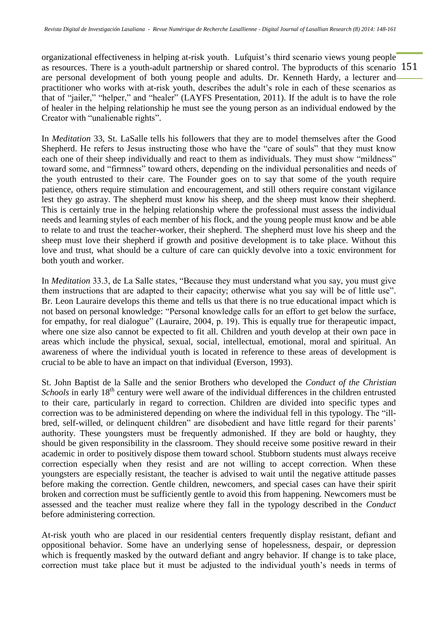as resources. There is a youth-adult partnership or shared control. The byproducts of this scenario 151 organizational effectiveness in helping at-risk youth. Lufquist's third scenario views young people are personal development of both young people and adults. Dr. Kenneth Hardy, a lecturer and practitioner who works with at-risk youth, describes the adult's role in each of these scenarios as that of "jailer," "helper," and "healer" (LAYFS Presentation, 2011). If the adult is to have the role of healer in the helping relationship he must see the young person as an individual endowed by the Creator with "unalienable rights".

In *Meditation* 33, St. LaSalle tells his followers that they are to model themselves after the Good Shepherd. He refers to Jesus instructing those who have the "care of souls" that they must know each one of their sheep individually and react to them as individuals. They must show "mildness" toward some, and "firmness" toward others, depending on the individual personalities and needs of the youth entrusted to their care. The Founder goes on to say that some of the youth require patience, others require stimulation and encouragement, and still others require constant vigilance lest they go astray. The shepherd must know his sheep, and the sheep must know their shepherd. This is certainly true in the helping relationship where the professional must assess the individual needs and learning styles of each member of his flock, and the young people must know and be able to relate to and trust the teacher-worker, their shepherd. The shepherd must love his sheep and the sheep must love their shepherd if growth and positive development is to take place. Without this love and trust, what should be a culture of care can quickly devolve into a toxic environment for both youth and worker.

In *Meditation* 33.3, de La Salle states, "Because they must understand what you say, you must give them instructions that are adapted to their capacity; otherwise what you say will be of little use". Br. Leon Lauraire develops this theme and tells us that there is no true educational impact which is not based on personal knowledge: "Personal knowledge calls for an effort to get below the surface, for empathy, for real dialogue" (Lauraire, 2004, p. 19). This is equally true for therapeutic impact, where one size also cannot be expected to fit all. Children and youth develop at their own pace in areas which include the physical, sexual, social, intellectual, emotional, moral and spiritual. An awareness of where the individual youth is located in reference to these areas of development is crucial to be able to have an impact on that individual (Everson, 1993).

St. John Baptist de la Salle and the senior Brothers who developed the *Conduct of the Christian Schools* in early 18<sup>th</sup> century were well aware of the individual differences in the children entrusted to their care, particularly in regard to correction. Children are divided into specific types and correction was to be administered depending on where the individual fell in this typology. The "illbred, self-willed, or delinquent children" are disobedient and have little regard for their parents' authority. These youngsters must be frequently admonished. If they are bold or haughty, they should be given responsibility in the classroom. They should receive some positive reward in their academic in order to positively dispose them toward school. Stubborn students must always receive correction especially when they resist and are not willing to accept correction. When these youngsters are especially resistant, the teacher is advised to wait until the negative attitude passes before making the correction. Gentle children, newcomers, and special cases can have their spirit broken and correction must be sufficiently gentle to avoid this from happening. Newcomers must be assessed and the teacher must realize where they fall in the typology described in the *Conduct* before administering correction.

At-risk youth who are placed in our residential centers frequently display resistant, defiant and oppositional behavior. Some have an underlying sense of hopelessness, despair, or depression which is frequently masked by the outward defiant and angry behavior. If change is to take place, correction must take place but it must be adjusted to the individual youth's needs in terms of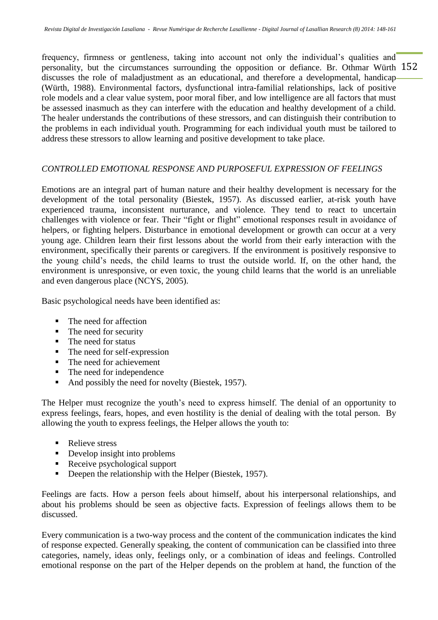personality, but the circumstances surrounding the opposition or defiance. Br. Othmar Würth 152 frequency, firmness or gentleness, taking into account not only the individual's qualities and discusses the role of maladjustment as an educational, and therefore a developmental, handicap (Würth, 1988). Environmental factors, dysfunctional intra-familial relationships, lack of positive role models and a clear value system, poor moral fiber, and low intelligence are all factors that must be assessed inasmuch as they can interfere with the education and healthy development of a child. The healer understands the contributions of these stressors, and can distinguish their contribution to the problems in each individual youth. Programming for each individual youth must be tailored to address these stressors to allow learning and positive development to take place.

# *CONTROLLED EMOTIONAL RESPONSE AND PURPOSEFUL EXPRESSION OF FEELINGS*

Emotions are an integral part of human nature and their healthy development is necessary for the development of the total personality (Biestek, 1957). As discussed earlier, at-risk youth have experienced trauma, inconsistent nurturance, and violence. They tend to react to uncertain challenges with violence or fear. Their "fight or flight" emotional responses result in avoidance of helpers, or fighting helpers. Disturbance in emotional development or growth can occur at a very young age. Children learn their first lessons about the world from their early interaction with the environment, specifically their parents or caregivers. If the environment is positively responsive to the young child's needs, the child learns to trust the outside world. If, on the other hand, the environment is unresponsive, or even toxic, the young child learns that the world is an unreliable and even dangerous place (NCYS, 2005).

Basic psychological needs have been identified as:

- The need for affection
- The need for security
- The need for status
- The need for self-expression
- The need for achievement
- The need for independence
- And possibly the need for novelty (Biestek, 1957).

The Helper must recognize the youth's need to express himself. The denial of an opportunity to express feelings, fears, hopes, and even hostility is the denial of dealing with the total person. By allowing the youth to express feelings, the Helper allows the youth to:

- Relieve stress
- Develop insight into problems
- Receive psychological support
- Deepen the relationship with the Helper (Biestek, 1957).

Feelings are facts. How a person feels about himself, about his interpersonal relationships, and about his problems should be seen as objective facts. Expression of feelings allows them to be discussed.

Every communication is a two-way process and the content of the communication indicates the kind of response expected. Generally speaking, the content of communication can be classified into three categories, namely, ideas only, feelings only, or a combination of ideas and feelings. Controlled emotional response on the part of the Helper depends on the problem at hand, the function of the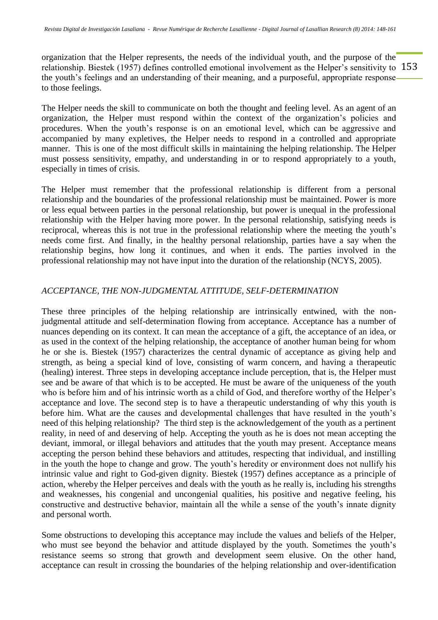relationship. Biestek (1957) defines controlled emotional involvement as the Helper's sensitivity to 153 organization that the Helper represents, the needs of the individual youth, and the purpose of the the youth's feelings and an understanding of their meaning, and a purposeful, appropriate response to those feelings.

The Helper needs the skill to communicate on both the thought and feeling level. As an agent of an organization, the Helper must respond within the context of the organization's policies and procedures. When the youth's response is on an emotional level, which can be aggressive and accompanied by many expletives, the Helper needs to respond in a controlled and appropriate manner. This is one of the most difficult skills in maintaining the helping relationship. The Helper must possess sensitivity, empathy, and understanding in or to respond appropriately to a youth, especially in times of crisis.

The Helper must remember that the professional relationship is different from a personal relationship and the boundaries of the professional relationship must be maintained. Power is more or less equal between parties in the personal relationship, but power is unequal in the professional relationship with the Helper having more power. In the personal relationship, satisfying needs is reciprocal, whereas this is not true in the professional relationship where the meeting the youth's needs come first. And finally, in the healthy personal relationship, parties have a say when the relationship begins, how long it continues, and when it ends. The parties involved in the professional relationship may not have input into the duration of the relationship (NCYS, 2005).

### *ACCEPTANCE, THE NON-JUDGMENTAL ATTITUDE, SELF-DETERMINATION*

These three principles of the helping relationship are intrinsically entwined, with the nonjudgmental attitude and self-determination flowing from acceptance. Acceptance has a number of nuances depending on its context. It can mean the acceptance of a gift, the acceptance of an idea, or as used in the context of the helping relationship, the acceptance of another human being for whom he or she is. Biestek (1957) characterizes the central dynamic of acceptance as giving help and strength, as being a special kind of love, consisting of warm concern, and having a therapeutic (healing) interest. Three steps in developing acceptance include perception, that is, the Helper must see and be aware of that which is to be accepted. He must be aware of the uniqueness of the youth who is before him and of his intrinsic worth as a child of God, and therefore worthy of the Helper's acceptance and love. The second step is to have a therapeutic understanding of why this youth is before him. What are the causes and developmental challenges that have resulted in the youth's need of this helping relationship? The third step is the acknowledgement of the youth as a pertinent reality, in need of and deserving of help. Accepting the youth as he is does not mean accepting the deviant, immoral, or illegal behaviors and attitudes that the youth may present. Acceptance means accepting the person behind these behaviors and attitudes, respecting that individual, and instilling in the youth the hope to change and grow. The youth's heredity or environment does not nullify his intrinsic value and right to God-given dignity. Biestek (1957) defines acceptance as a principle of action, whereby the Helper perceives and deals with the youth as he really is, including his strengths and weaknesses, his congenial and uncongenial qualities, his positive and negative feeling, his constructive and destructive behavior, maintain all the while a sense of the youth's innate dignity and personal worth.

Some obstructions to developing this acceptance may include the values and beliefs of the Helper, who must see beyond the behavior and attitude displayed by the youth. Sometimes the youth's resistance seems so strong that growth and development seem elusive. On the other hand, acceptance can result in crossing the boundaries of the helping relationship and over-identification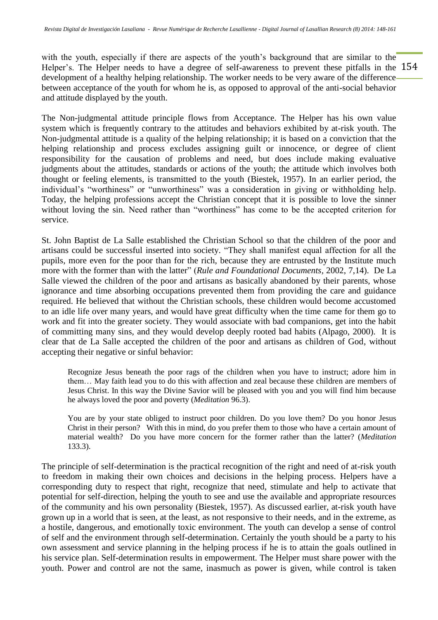Helper's. The Helper needs to have a degree of self-awareness to prevent these pitfalls in the 154 with the youth, especially if there are aspects of the youth's background that are similar to the development of a healthy helping relationship. The worker needs to be very aware of the difference between acceptance of the youth for whom he is, as opposed to approval of the anti-social behavior and attitude displayed by the youth.

The Non-judgmental attitude principle flows from Acceptance. The Helper has his own value system which is frequently contrary to the attitudes and behaviors exhibited by at-risk youth. The Non-judgmental attitude is a quality of the helping relationship; it is based on a conviction that the helping relationship and process excludes assigning guilt or innocence, or degree of client responsibility for the causation of problems and need, but does include making evaluative judgments about the attitudes, standards or actions of the youth; the attitude which involves both thought or feeling elements, is transmitted to the youth (Biestek, 1957). In an earlier period, the individual's "worthiness" or "unworthiness" was a consideration in giving or withholding help. Today, the helping professions accept the Christian concept that it is possible to love the sinner without loving the sin. Need rather than "worthiness" has come to be the accepted criterion for service.

St. John Baptist de La Salle established the Christian School so that the children of the poor and artisans could be successful inserted into society. "They shall manifest equal affection for all the pupils, more even for the poor than for the rich, because they are entrusted by the Institute much more with the former than with the latter" (*Rule and Foundational Documents,* 2002, 7,14). De La Salle viewed the children of the poor and artisans as basically abandoned by their parents, whose ignorance and time absorbing occupations prevented them from providing the care and guidance required. He believed that without the Christian schools, these children would become accustomed to an idle life over many years, and would have great difficulty when the time came for them go to work and fit into the greater society. They would associate with bad companions, get into the habit of committing many sins, and they would develop deeply rooted bad habits (Alpago, 2000). It is clear that de La Salle accepted the children of the poor and artisans as children of God, without accepting their negative or sinful behavior:

Recognize Jesus beneath the poor rags of the children when you have to instruct; adore him in them… May faith lead you to do this with affection and zeal because these children are members of Jesus Christ. In this way the Divine Savior will be pleased with you and you will find him because he always loved the poor and poverty (*Meditation* 96.3).

You are by your state obliged to instruct poor children. Do you love them? Do you honor Jesus Christ in their person? With this in mind, do you prefer them to those who have a certain amount of material wealth? Do you have more concern for the former rather than the latter? (*Meditation* 133.3).

The principle of self-determination is the practical recognition of the right and need of at-risk youth to freedom in making their own choices and decisions in the helping process. Helpers have a corresponding duty to respect that right, recognize that need, stimulate and help to activate that potential for self-direction, helping the youth to see and use the available and appropriate resources of the community and his own personality (Biestek, 1957). As discussed earlier, at-risk youth have grown up in a world that is seen, at the least, as not responsive to their needs, and in the extreme, as a hostile, dangerous, and emotionally toxic environment. The youth can develop a sense of control of self and the environment through self-determination. Certainly the youth should be a party to his own assessment and service planning in the helping process if he is to attain the goals outlined in his service plan. Self-determination results in empowerment. The Helper must share power with the youth. Power and control are not the same, inasmuch as power is given, while control is taken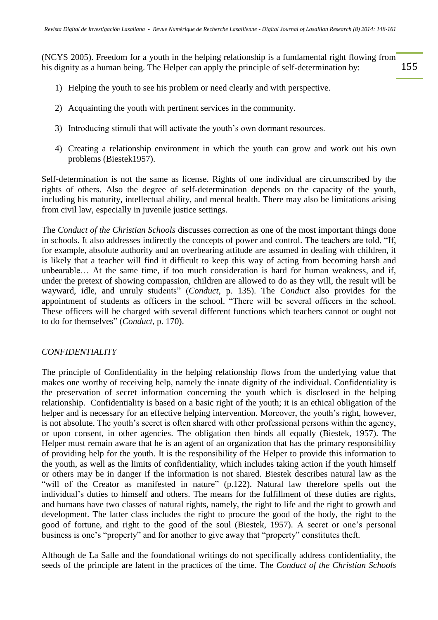155 (NCYS 2005). Freedom for a youth in the helping relationship is a fundamental right flowing from his dignity as a human being. The Helper can apply the principle of self-determination by:

- 1) Helping the youth to see his problem or need clearly and with perspective.
- 2) Acquainting the youth with pertinent services in the community.
- 3) Introducing stimuli that will activate the youth's own dormant resources.
- 4) Creating a relationship environment in which the youth can grow and work out his own problems (Biestek1957).

Self-determination is not the same as license. Rights of one individual are circumscribed by the rights of others. Also the degree of self-determination depends on the capacity of the youth, including his maturity, intellectual ability, and mental health. There may also be limitations arising from civil law, especially in juvenile justice settings.

The *Conduct of the Christian Schools* discusses correction as one of the most important things done in schools. It also addresses indirectly the concepts of power and control. The teachers are told, "If, for example, absolute authority and an overbearing attitude are assumed in dealing with children, it is likely that a teacher will find it difficult to keep this way of acting from becoming harsh and unbearable… At the same time, if too much consideration is hard for human weakness, and if, under the pretext of showing compassion, children are allowed to do as they will, the result will be wayward, idle, and unruly students" (*Conduct*, p. 135). The *Conduct* also provides for the appointment of students as officers in the school. "There will be several officers in the school. These officers will be charged with several different functions which teachers cannot or ought not to do for themselves" (*Conduct*, p. 170).

# *CONFIDENTIALITY*

The principle of Confidentiality in the helping relationship flows from the underlying value that makes one worthy of receiving help, namely the innate dignity of the individual. Confidentiality is the preservation of secret information concerning the youth which is disclosed in the helping relationship. Confidentiality is based on a basic right of the youth; it is an ethical obligation of the helper and is necessary for an effective helping intervention. Moreover, the youth's right, however, is not absolute. The youth's secret is often shared with other professional persons within the agency, or upon consent, in other agencies. The obligation then binds all equally (Biestek, 1957). The Helper must remain aware that he is an agent of an organization that has the primary responsibility of providing help for the youth. It is the responsibility of the Helper to provide this information to the youth, as well as the limits of confidentiality, which includes taking action if the youth himself or others may be in danger if the information is not shared. Biestek describes natural law as the "will of the Creator as manifested in nature" (p.122). Natural law therefore spells out the individual's duties to himself and others. The means for the fulfillment of these duties are rights, and humans have two classes of natural rights, namely, the right to life and the right to growth and development. The latter class includes the right to procure the good of the body, the right to the good of fortune, and right to the good of the soul (Biestek, 1957). A secret or one's personal business is one's "property" and for another to give away that "property" constitutes theft.

Although de La Salle and the foundational writings do not specifically address confidentiality, the seeds of the principle are latent in the practices of the time. The *Conduct of the Christian Schools*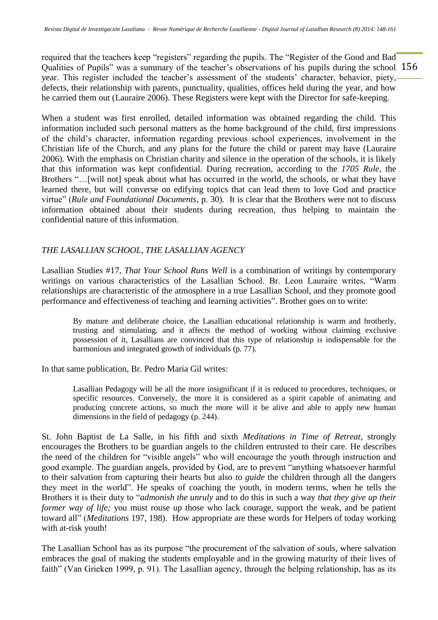Qualities of Pupils" was a summary of the teacher's observations of his pupils during the school 156 required that the teachers keep "registers" regarding the pupils. The "Register of the Good and Bad year. This register included the teacher's assessment of the students' character, behavior, piety, defects, their relationship with parents, punctuality, qualities, offices held during the year, and how he carried them out (Lauraire 2006). These Registers were kept with the Director for safe-keeping.

When a student was first enrolled, detailed information was obtained regarding the child. This information included such personal matters as the home background of the child, first impressions of the child's character, information regarding previous school experiences, involvement in the Christian life of the Church, and any plans for the future the child or parent may have (Lauraire 2006). With the emphasis on Christian charity and silence in the operation of the schools, it is likely that this information was kept confidential. During recreation, according to the *1705 Rule*, the Brothers "...[will not] speak about what has occurred in the world, the schools, or what they have learned there, but will converse on edifying topics that can lead them to love God and practice virtue" (*Rule and Foundational Documents*, p. 30). It is clear that the Brothers were not to discuss information obtained about their students during recreation, thus helping to maintain the confidential nature of this information.

# *THE LASALLIAN SCHOOL, THE LASALLIAN AGENCY*

Lasallian Studies #17, *That Your School Runs Well* is a combination of writings by contemporary writings on various characteristics of the Lasallian School. Br. Leon Lauraire writes, "Warm relationships are characteristic of the atmosphere in a true Lasallian School, and they promote good performance and effectiveness of teaching and learning activities". Brother goes on to write:

By mature and deliberate choice, the Lasallian educational relationship is warm and brotherly, trusting and stimulating, and it affects the method of working without claiming exclusive possession of it, Lasallians are convinced that this type of relationship is indispensable for the harmonious and integrated growth of individuals (p. 77).

In that same publication, Br. Pedro Maria Gil writes:

Lasallian Pedagogy will be all the more insignificant if it is reduced to procedures, techniques, or specific resources. Conversely, the more it is considered as a spirit capable of animating and producing concrete actions, so much the more will it be alive and able to apply new human dimensions in the field of pedagogy (p. 244).

St. John Baptist de La Salle, in his fifth and sixth *Meditations in Time of Retreat*, strongly encourages the Brothers to be guardian angels to the children entrusted to their care. He describes the need of the children for "visible angels" who will encourage the youth through instruction and good example. The guardian angels, provided by God, are to prevent "anything whatsoever harmful to their salvation from capturing their hearts but also *to guide* the children through all the dangers they meet in the world". He speaks of coaching the youth, in modern terms, when he tells the Brothers it is their duty to "*admonish the unruly* and to do this in such a way *that they give up their former way of life;* you must rouse up those who lack courage, support the weak, and be patient toward all" (*Meditations* 197, 198). How appropriate are these words for Helpers of today working with at-risk youth!

The Lasallian School has as its purpose "the procurement of the salvation of souls, where salvation embraces the goal of making the students employable and in the growing maturity of their lives of faith" (Van Grieken 1999, p. 91). The Lasallian agency, through the helping relationship, has as its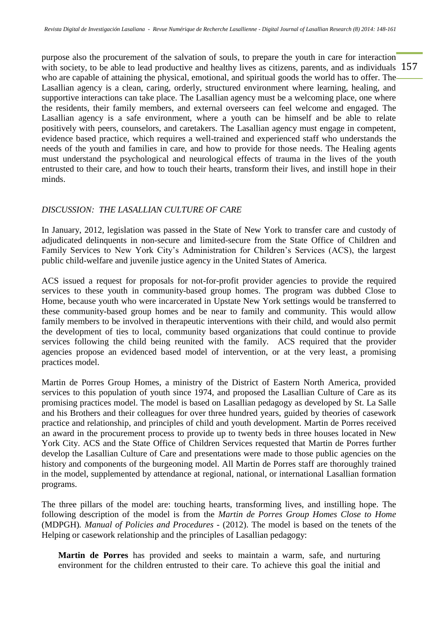with society, to be able to lead productive and healthy lives as citizens, parents, and as individuals 157 purpose also the procurement of the salvation of souls, to prepare the youth in care for interaction who are capable of attaining the physical, emotional, and spiritual goods the world has to offer. The Lasallian agency is a clean, caring, orderly, structured environment where learning, healing, and supportive interactions can take place. The Lasallian agency must be a welcoming place, one where the residents, their family members, and external overseers can feel welcome and engaged. The Lasallian agency is a safe environment, where a youth can be himself and be able to relate positively with peers, counselors, and caretakers. The Lasallian agency must engage in competent, evidence based practice, which requires a well-trained and experienced staff who understands the needs of the youth and families in care, and how to provide for those needs. The Healing agents must understand the psychological and neurological effects of trauma in the lives of the youth entrusted to their care, and how to touch their hearts, transform their lives, and instill hope in their minds.

### *DISCUSSION: THE LASALLIAN CULTURE OF CARE*

In January, 2012, legislation was passed in the State of New York to transfer care and custody of adjudicated delinquents in non-secure and limited-secure from the State Office of Children and Family Services to New York City's Administration for Children's Services (ACS), the largest public child-welfare and juvenile justice agency in the United States of America.

ACS issued a request for proposals for not-for-profit provider agencies to provide the required services to these youth in community-based group homes. The program was dubbed Close to Home, because youth who were incarcerated in Upstate New York settings would be transferred to these community-based group homes and be near to family and community. This would allow family members to be involved in therapeutic interventions with their child, and would also permit the development of ties to local, community based organizations that could continue to provide services following the child being reunited with the family. ACS required that the provider agencies propose an evidenced based model of intervention, or at the very least, a promising practices model.

Martin de Porres Group Homes, a ministry of the District of Eastern North America, provided services to this population of youth since 1974, and proposed the Lasallian Culture of Care as its promising practices model. The model is based on Lasallian pedagogy as developed by St. La Salle and his Brothers and their colleagues for over three hundred years, guided by theories of casework practice and relationship, and principles of child and youth development. Martin de Porres received an award in the procurement process to provide up to twenty beds in three houses located in New York City. ACS and the State Office of Children Services requested that Martin de Porres further develop the Lasallian Culture of Care and presentations were made to those public agencies on the history and components of the burgeoning model. All Martin de Porres staff are thoroughly trained in the model, supplemented by attendance at regional, national, or international Lasallian formation programs.

The three pillars of the model are: touching hearts, transforming lives, and instilling hope. The following description of the model is from the *Martin de Porres Group Homes Close to Home* (MDPGH)*. Manual of Policies and Procedures* - (2012). The model is based on the tenets of the Helping or casework relationship and the principles of Lasallian pedagogy:

**Martin de Porres** has provided and seeks to maintain a warm, safe, and nurturing environment for the children entrusted to their care. To achieve this goal the initial and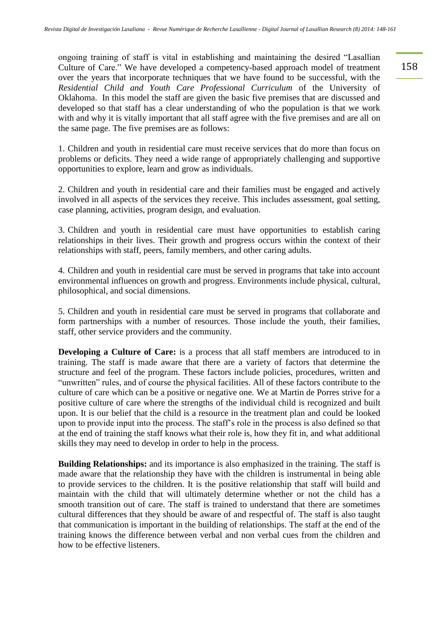ongoing training of staff is vital in establishing and maintaining the desired "Lasallian Culture of Care." We have developed a competency-based approach model of treatment over the years that incorporate techniques that we have found to be successful, with the *Residential Child and Youth Care Professional Curriculum* of the University of Oklahoma. In this model the staff are given the basic five premises that are discussed and developed so that staff has a clear understanding of who the population is that we work with and why it is vitally important that all staff agree with the five premises and are all on the same page. The five premises are as follows:

1. Children and youth in residential care must receive services that do more than focus on problems or deficits. They need a wide range of appropriately challenging and supportive opportunities to explore, learn and grow as individuals.

2. Children and youth in residential care and their families must be engaged and actively involved in all aspects of the services they receive. This includes assessment, goal setting, case planning, activities, program design, and evaluation.

3. Children and youth in residential care must have opportunities to establish caring relationships in their lives. Their growth and progress occurs within the context of their relationships with staff, peers, family members, and other caring adults.

4. Children and youth in residential care must be served in programs that take into account environmental influences on growth and progress. Environments include physical, cultural, philosophical, and social dimensions.

5. Children and youth in residential care must be served in programs that collaborate and form partnerships with a number of resources. Those include the youth, their families, staff, other service providers and the community.

**Developing a Culture of Care:** is a process that all staff members are introduced to in training. The staff is made aware that there are a variety of factors that determine the structure and feel of the program. These factors include policies, procedures, written and "unwritten" rules, and of course the physical facilities. All of these factors contribute to the culture of care which can be a positive or negative one. We at Martin de Porres strive for a positive culture of care where the strengths of the individual child is recognized and built upon. It is our belief that the child is a resource in the treatment plan and could be looked upon to provide input into the process. The staff's role in the process is also defined so that at the end of training the staff knows what their role is, how they fit in, and what additional skills they may need to develop in order to help in the process.

**Building Relationships:** and its importance is also emphasized in the training. The staff is made aware that the relationship they have with the children is instrumental in being able to provide services to the children. It is the positive relationship that staff will build and maintain with the child that will ultimately determine whether or not the child has a smooth transition out of care. The staff is trained to understand that there are sometimes cultural differences that they should be aware of and respectful of. The staff is also taught that communication is important in the building of relationships. The staff at the end of the training knows the difference between verbal and non verbal cues from the children and how to be effective listeners.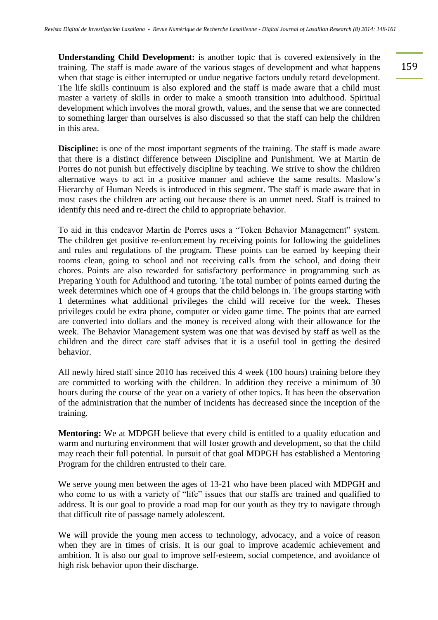**Understanding Child Development:** is another topic that is covered extensively in the training. The staff is made aware of the various stages of development and what happens when that stage is either interrupted or undue negative factors unduly retard development. The life skills continuum is also explored and the staff is made aware that a child must master a variety of skills in order to make a smooth transition into adulthood. Spiritual development which involves the moral growth, values, and the sense that we are connected to something larger than ourselves is also discussed so that the staff can help the children in this area.

**Discipline:** is one of the most important segments of the training. The staff is made aware that there is a distinct difference between Discipline and Punishment. We at Martin de Porres do not punish but effectively discipline by teaching. We strive to show the children alternative ways to act in a positive manner and achieve the same results. Maslow's Hierarchy of Human Needs is introduced in this segment. The staff is made aware that in most cases the children are acting out because there is an unmet need. Staff is trained to identify this need and re-direct the child to appropriate behavior.

To aid in this endeavor Martin de Porres uses a "Token Behavior Management" system. The children get positive re-enforcement by receiving points for following the guidelines and rules and regulations of the program. These points can be earned by keeping their rooms clean, going to school and not receiving calls from the school, and doing their chores. Points are also rewarded for satisfactory performance in programming such as Preparing Youth for Adulthood and tutoring. The total number of points earned during the week determines which one of 4 groups that the child belongs in. The groups starting with 1 determines what additional privileges the child will receive for the week. Theses privileges could be extra phone, computer or video game time. The points that are earned are converted into dollars and the money is received along with their allowance for the week. The Behavior Management system was one that was devised by staff as well as the children and the direct care staff advises that it is a useful tool in getting the desired behavior.

All newly hired staff since 2010 has received this 4 week (100 hours) training before they are committed to working with the children. In addition they receive a minimum of 30 hours during the course of the year on a variety of other topics. It has been the observation of the administration that the number of incidents has decreased since the inception of the training.

**Mentoring:** We at MDPGH believe that every child is entitled to a quality education and warm and nurturing environment that will foster growth and development, so that the child may reach their full potential. In pursuit of that goal MDPGH has established a Mentoring Program for the children entrusted to their care.

We serve young men between the ages of 13-21 who have been placed with MDPGH and who come to us with a variety of "life" issues that our staffs are trained and qualified to address. It is our goal to provide a road map for our youth as they try to navigate through that difficult rite of passage namely adolescent.

We will provide the young men access to technology, advocacy, and a voice of reason when they are in times of crisis. It is our goal to improve academic achievement and ambition. It is also our goal to improve self-esteem, social competence, and avoidance of high risk behavior upon their discharge.

159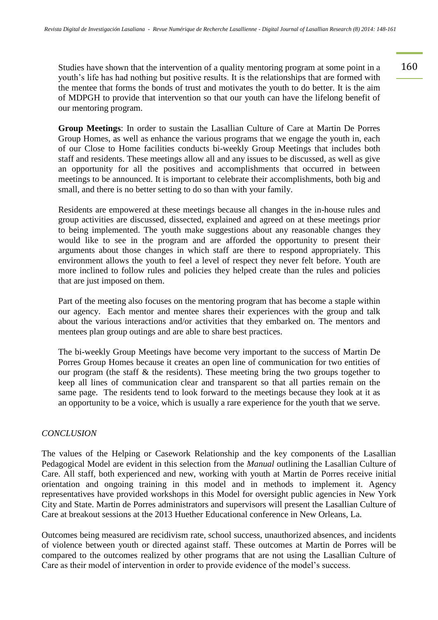Studies have shown that the intervention of a quality mentoring program at some point in a 160 youth's life has had nothing but positive results. It is the relationships that are formed with the mentee that forms the bonds of trust and motivates the youth to do better. It is the aim of MDPGH to provide that intervention so that our youth can have the lifelong benefit of our mentoring program.

**Group Meetings**: In order to sustain the Lasallian Culture of Care at Martin De Porres Group Homes, as well as enhance the various programs that we engage the youth in, each of our Close to Home facilities conducts bi-weekly Group Meetings that includes both staff and residents. These meetings allow all and any issues to be discussed, as well as give an opportunity for all the positives and accomplishments that occurred in between meetings to be announced. It is important to celebrate their accomplishments, both big and small, and there is no better setting to do so than with your family.

Residents are empowered at these meetings because all changes in the in-house rules and group activities are discussed, dissected, explained and agreed on at these meetings prior to being implemented. The youth make suggestions about any reasonable changes they would like to see in the program and are afforded the opportunity to present their arguments about those changes in which staff are there to respond appropriately. This environment allows the youth to feel a level of respect they never felt before. Youth are more inclined to follow rules and policies they helped create than the rules and policies that are just imposed on them.

Part of the meeting also focuses on the mentoring program that has become a staple within our agency. Each mentor and mentee shares their experiences with the group and talk about the various interactions and/or activities that they embarked on. The mentors and mentees plan group outings and are able to share best practices.

The bi-weekly Group Meetings have become very important to the success of Martin De Porres Group Homes because it creates an open line of communication for two entities of our program (the staff & the residents). These meeting bring the two groups together to keep all lines of communication clear and transparent so that all parties remain on the same page. The residents tend to look forward to the meetings because they look at it as an opportunity to be a voice, which is usually a rare experience for the youth that we serve.

### *CONCLUSION*

The values of the Helping or Casework Relationship and the key components of the Lasallian Pedagogical Model are evident in this selection from the *Manual* outlining the Lasallian Culture of Care. All staff, both experienced and new, working with youth at Martin de Porres receive initial orientation and ongoing training in this model and in methods to implement it. Agency representatives have provided workshops in this Model for oversight public agencies in New York City and State. Martin de Porres administrators and supervisors will present the Lasallian Culture of Care at breakout sessions at the 2013 Huether Educational conference in New Orleans, La.

Outcomes being measured are recidivism rate, school success, unauthorized absences, and incidents of violence between youth or directed against staff. These outcomes at Martin de Porres will be compared to the outcomes realized by other programs that are not using the Lasallian Culture of Care as their model of intervention in order to provide evidence of the model's success.